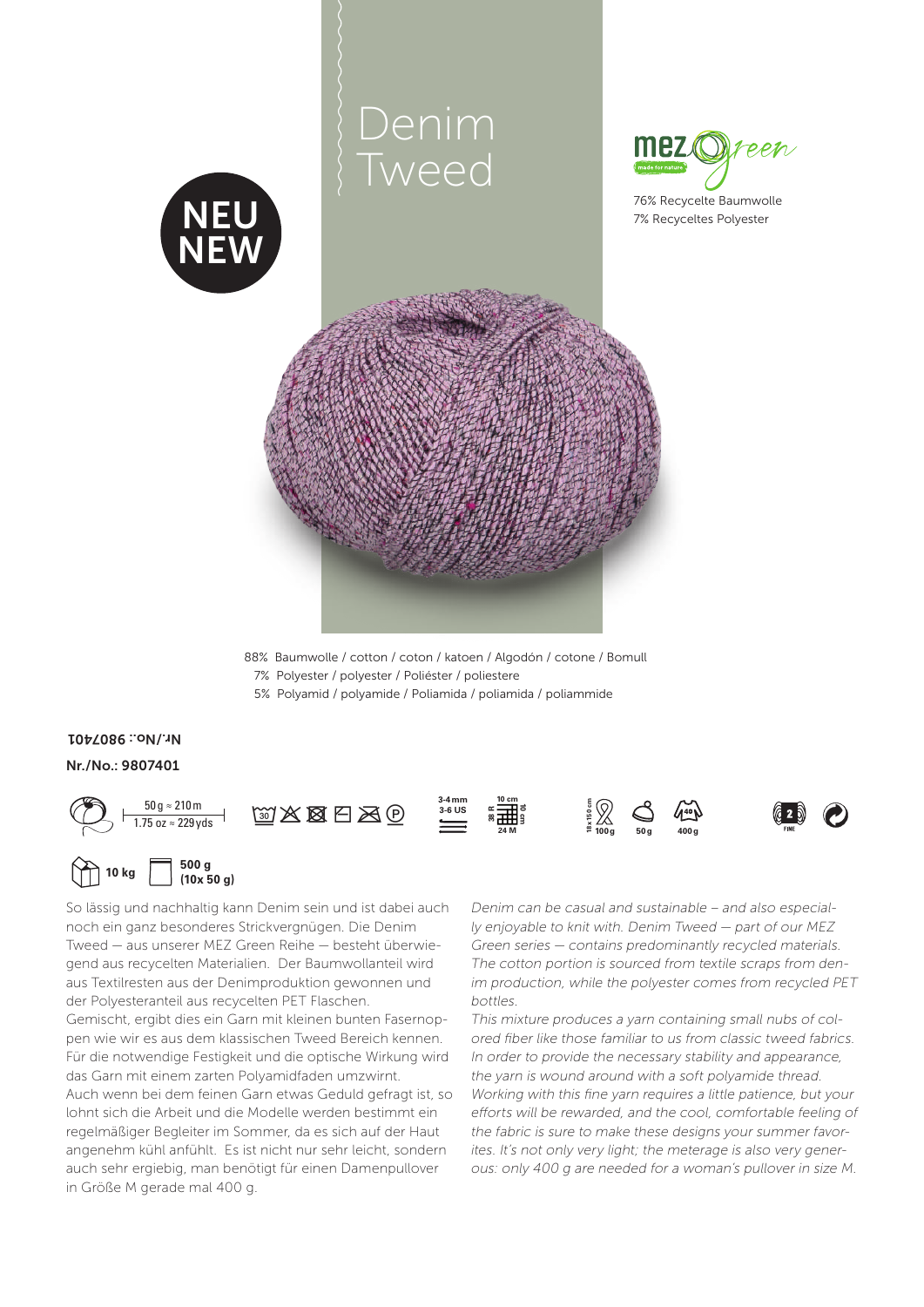

88% Baumwolle / cotton / coton / katoen / Algodón / cotone / Bomull 7% Polyester / polyester / Poliéster / poliestere 5 % Polyamid / polyamide / Poliamida / poliamida / poliammide

## Nr. / No.: 9807401 Nr. / No.: 9807401



So lässig und nachhaltig kann Denim sein und ist dabei auch noch ein ganz besonderes Strickvergnügen. Die Denim Tweed — aus unserer MEZ Green Reihe — besteht überwiegend aus recycelten Materialien. Der Baumwollanteil wird aus Textilresten aus der Denimproduktion gewonnen und der Polyesteranteil aus recycelten PET Flaschen. Gemischt, ergibt dies ein Garn mit kleinen bunten Fasernoppen wie wir es aus dem klassischen Tweed Bereich kennen. Für die notwendige Festigkeit und die optische Wirkung wird das Garn mit einem zarten Polyamidfaden umzwirnt. Auch wenn bei dem feinen Garn etwas Geduld gefragt ist, so lohnt sich die Arbeit und die Modelle werden bestimmt ein regelmäßiger Begleiter im Sommer, da es sich auf der Haut angenehm kühl anfühlt. Es ist nicht nur sehr leicht, sondern auch sehr ergiebig, man benötigt für einen Damenpullover in Größe M gerade mal 400 g.

Denim can be casual and sustainable – and also especially enjoyable to knit with. Denim Tweed — part of our MEZ Green series — contains predominantly recycled materials. The cotton portion is sourced from textile scraps from denim production, while the polyester comes from recycled PET bottles.

This mixture produces a yarn containing small nubs of colored fiber like those familiar to us from classic tweed fabrics. In order to provide the necessary stability and appearance, the yarn is wound around with a soft polyamide thread. Working with this fine yarn requires a little patience, but your efforts will be rewarded, and the cool, comfortable feeling of the fabric is sure to make these designs your summer favorites. It's not only very light; the meterage is also very generous: only 400 g are needed for a woman's pullover in size M.